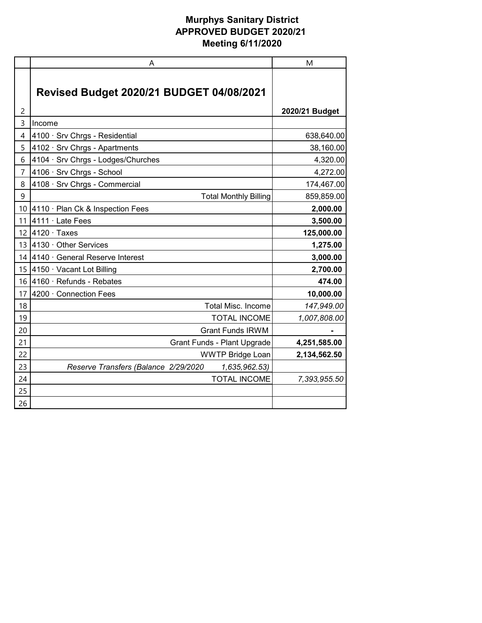|    | A                                                     | M              |
|----|-------------------------------------------------------|----------------|
|    | <b>Revised Budget 2020/21 BUDGET 04/08/2021</b>       |                |
| 2  |                                                       | 2020/21 Budget |
| 3  | Income                                                |                |
| 4  | 4100 · Srv Chrgs - Residential                        | 638,640.00     |
| 5  | 4102 · Srv Chrgs - Apartments                         | 38,160.00      |
| 6  | 4104 · Srv Chrgs - Lodges/Churches                    | 4,320.00       |
| 7  | 4106 · Srv Chrgs - School                             | 4,272.00       |
| 8  | 4108 · Srv Chrgs - Commercial                         | 174,467.00     |
| 9  | <b>Total Monthly Billing</b>                          | 859,859.00     |
| 10 | 4110 · Plan Ck & Inspection Fees                      | 2,000.00       |
| 11 | 4111 · Late Fees                                      | 3,500.00       |
| 12 | $4120 \cdot$ Taxes                                    | 125,000.00     |
| 13 | 4130 · Other Services                                 | 1,275.00       |
| 14 | 4140 · General Reserve Interest                       | 3,000.00       |
| 15 | 4150 · Vacant Lot Billing                             | 2,700.00       |
| 16 | 4160 · Refunds - Rebates                              | 474.00         |
| 17 | 4200 · Connection Fees                                | 10,000.00      |
| 18 | <b>Total Misc. Income</b>                             | 147,949.00     |
| 19 | <b>TOTAL INCOME</b>                                   | 1,007,808.00   |
| 20 | <b>Grant Funds IRWM</b>                               |                |
| 21 | Grant Funds - Plant Upgrade                           | 4,251,585.00   |
| 22 | <b>WWTP Bridge Loan</b>                               | 2,134,562.50   |
| 23 | Reserve Transfers (Balance 2/29/2020<br>1,635,962.53) |                |
| 24 | <b>TOTAL INCOME</b>                                   | 7,393,955.50   |
| 25 |                                                       |                |
| 26 |                                                       |                |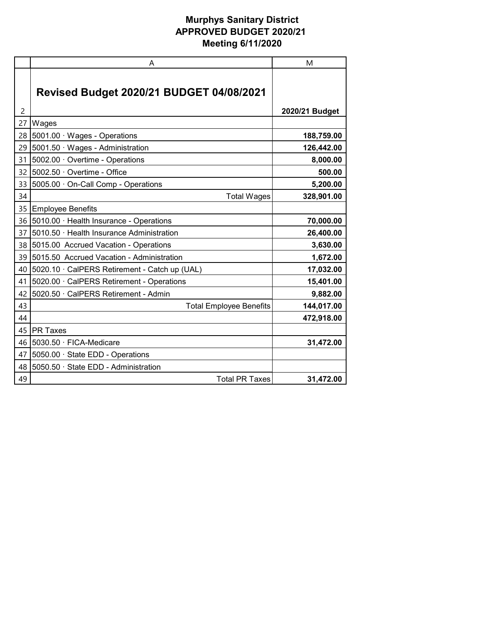|    | A                                               | M              |
|----|-------------------------------------------------|----------------|
|    | <b>Revised Budget 2020/21 BUDGET 04/08/2021</b> |                |
| 2  |                                                 | 2020/21 Budget |
| 27 | Wages                                           |                |
| 28 | 5001.00 · Wages - Operations                    | 188,759.00     |
| 29 | 5001.50 · Wages - Administration                | 126,442.00     |
| 31 | 5002.00 Overtime - Operations                   | 8,000.00       |
| 32 | 5002.50 Overtime - Office                       | 500.00         |
| 33 | 5005.00 · On-Call Comp - Operations             | 5,200.00       |
| 34 | <b>Total Wages</b>                              | 328,901.00     |
| 35 | Employee Benefits                               |                |
| 36 | 5010.00 · Health Insurance - Operations         | 70,000.00      |
| 37 | 5010.50 · Health Insurance Administration       | 26,400.00      |
| 38 | 5015.00 Accrued Vacation - Operations           | 3,630.00       |
| 39 | 5015.50 Accrued Vacation - Administration       | 1,672.00       |
| 40 | 5020.10 · CalPERS Retirement - Catch up (UAL)   | 17,032.00      |
| 41 | 5020.00 · CalPERS Retirement - Operations       | 15,401.00      |
| 42 | 5020.50 · CalPERS Retirement - Admin            | 9,882.00       |
| 43 | <b>Total Employee Benefits</b>                  | 144,017.00     |
| 44 |                                                 | 472,918.00     |
| 45 | <b>PR Taxes</b>                                 |                |
| 46 | 5030.50 · FICA-Medicare                         | 31,472.00      |
| 47 | 5050.00 · State EDD - Operations                |                |
| 48 | 5050.50 · State EDD - Administration            |                |
| 49 | <b>Total PR Taxes</b>                           | 31,472.00      |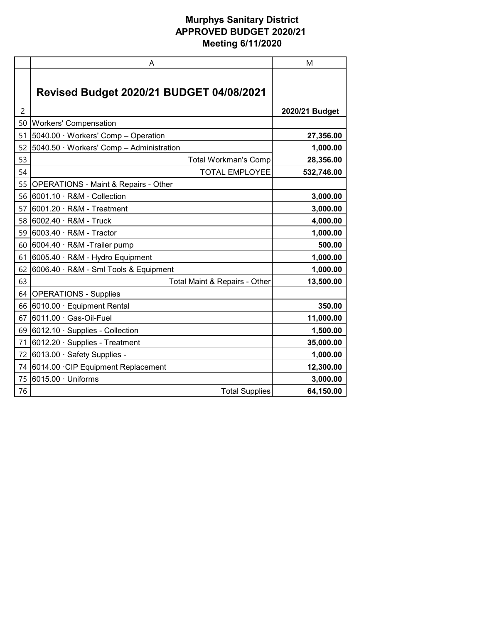|    | Α                                               | M              |
|----|-------------------------------------------------|----------------|
|    | <b>Revised Budget 2020/21 BUDGET 04/08/2021</b> |                |
| 2  |                                                 | 2020/21 Budget |
| 50 | <b>Workers' Compensation</b>                    |                |
| 51 | 5040.00 · Workers' Comp - Operation             | 27,356.00      |
| 52 | 5040.50 · Workers' Comp - Administration        | 1,000.00       |
| 53 | <b>Total Workman's Comp</b>                     | 28,356.00      |
| 54 | <b>TOTAL EMPLOYEE</b>                           | 532,746.00     |
| 55 | <b>OPERATIONS - Maint &amp; Repairs - Other</b> |                |
| 56 | 6001.10 · R&M - Collection                      | 3,000.00       |
| 57 | 6001.20 · R&M - Treatment                       | 3,000.00       |
| 58 | 6002.40 · R&M - Truck                           | 4,000.00       |
| 59 | 6003.40 · R&M - Tractor                         | 1,000.00       |
| 60 | 6004.40 · R&M -Trailer pump                     | 500.00         |
| 61 | 6005.40 · R&M - Hydro Equipment                 | 1,000.00       |
| 62 | 6006.40 · R&M - Sml Tools & Equipment           | 1,000.00       |
| 63 | Total Maint & Repairs - Other                   | 13,500.00      |
| 64 | <b>OPERATIONS - Supplies</b>                    |                |
| 66 | 6010.00 · Equipment Rental                      | 350.00         |
| 67 | $6011.00 \cdot$ Gas-Oil-Fuel                    | 11,000.00      |
| 69 | 6012.10 · Supplies - Collection                 | 1,500.00       |
| 71 | 6012.20 · Supplies - Treatment                  | 35,000.00      |
| 72 | 6013.00 · Safety Supplies -                     | 1,000.00       |
| 74 | 6014.00 CIP Equipment Replacement               | 12,300.00      |
| 75 | 6015.00 · Uniforms                              | 3,000.00       |
| 76 | <b>Total Supplies</b>                           | 64,150.00      |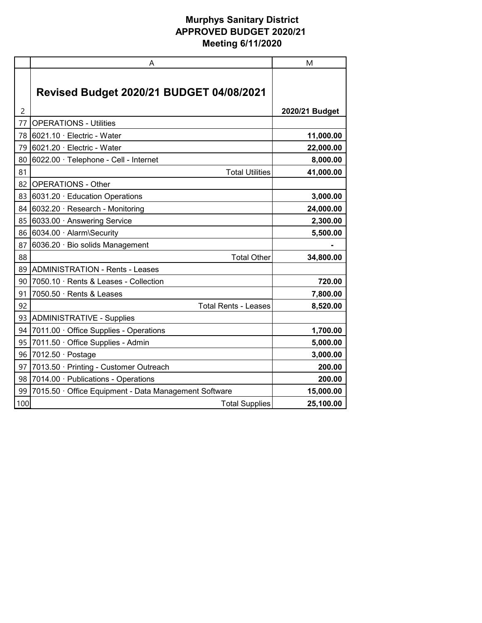|     | A                                                     | M              |
|-----|-------------------------------------------------------|----------------|
|     | <b>Revised Budget 2020/21 BUDGET 04/08/2021</b>       |                |
| 2   |                                                       | 2020/21 Budget |
| 77  | <b>OPERATIONS - Utilities</b>                         |                |
| 78  | 6021.10 · Electric - Water                            | 11,000.00      |
| 79  | <b>1</b> 6021.20 · Electric - Water                   | 22,000.00      |
| 80  | 6022.00 · Telephone - Cell - Internet                 | 8,000.00       |
| 81  | <b>Total Utilities</b>                                | 41,000.00      |
| 82  | <b>OPERATIONS - Other</b>                             |                |
| 83  | 6031.20 · Education Operations                        | 3,000.00       |
| 84  | $6032.20 \cdot$ Research - Monitoring                 | 24,000.00      |
| 85  | 6033.00 Answering Service                             | 2,300.00       |
| 86  | 6034.00 · Alarm\Security                              | 5,500.00       |
| 87  | 6036.20 · Bio solids Management                       |                |
| 88  | <b>Total Other</b>                                    | 34,800.00      |
| 89  | <b>ADMINISTRATION - Rents - Leases</b>                |                |
| 90  | 7050.10 · Rents & Leases - Collection                 | 720.00         |
| 91  | 7050.50 · Rents & Leases                              | 7,800.00       |
| 92  | <b>Total Rents - Leases</b>                           | 8,520.00       |
|     | 93 ADMINISTRATIVE - Supplies                          |                |
| 94  | 7011.00 Office Supplies - Operations                  | 1,700.00       |
| 95  | 7011.50 · Office Supplies - Admin                     | 5,000.00       |
| 96  | 7012.50 · Postage                                     | 3,000.00       |
| 97  | 7013.50 · Printing - Customer Outreach                | 200.00         |
| 98  | 7014.00 · Publications - Operations                   | 200.00         |
| 99  | 7015.50 · Office Equipment - Data Management Software | 15,000.00      |
| 100 | <b>Total Supplies</b>                                 | 25,100.00      |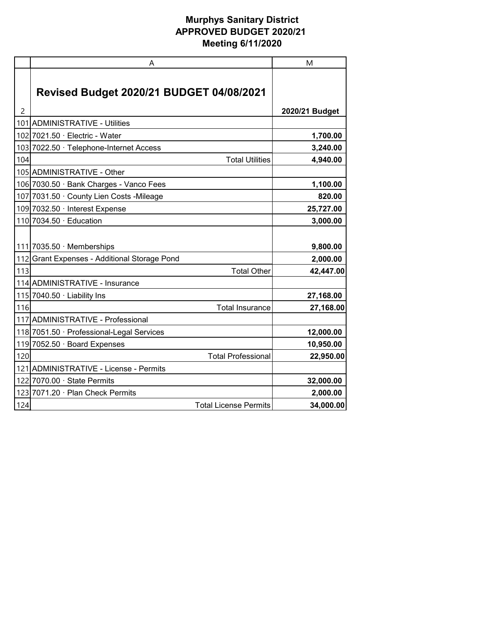|                | A                                               | M              |
|----------------|-------------------------------------------------|----------------|
|                | <b>Revised Budget 2020/21 BUDGET 04/08/2021</b> |                |
| $\overline{c}$ |                                                 | 2020/21 Budget |
| 101            | <b>ADMINISTRATIVE - Utilities</b>               |                |
|                | 102 7021.50 · Electric - Water                  | 1,700.00       |
|                | 103 7022.50 · Telephone-Internet Access         | 3,240.00       |
| 104            | <b>Total Utilities</b>                          | 4,940.00       |
|                | 105 ADMINISTRATIVE - Other                      |                |
|                | 106 7030.50 · Bank Charges - Vanco Fees         | 1,100.00       |
|                | 107 7031.50 · County Lien Costs - Mileage       | 820.00         |
|                | 109 7032.50 · Interest Expense                  | 25,727.00      |
|                | 110 7034.50 · Education                         | 3,000.00       |
|                | 111 7035.50 $\cdot$ Memberships                 | 9,800.00       |
|                | 112 Grant Expenses - Additional Storage Pond    | 2,000.00       |
| 113            | <b>Total Other</b>                              | 42,447.00      |
|                | 114 ADMINISTRATIVE - Insurance                  |                |
|                | 115 7040.50 $\cdot$ Liability Ins               | 27,168.00      |
| 116            | <b>Total Insurance</b>                          | 27,168.00      |
|                | 117 ADMINISTRATIVE - Professional               |                |
|                | 118 7051.50 · Professional-Legal Services       | 12,000.00      |
|                | 119 7052.50 · Board Expenses                    | 10,950.00      |
| 120            | <b>Total Professional</b>                       | 22,950.00      |
|                | 121 ADMINISTRATIVE - License - Permits          |                |
|                | 122 7070.00 · State Permits                     | 32,000.00      |
|                | 123 7071.20 · Plan Check Permits                | 2,000.00       |
| 124            | <b>Total License Permits</b>                    | 34,000.00      |